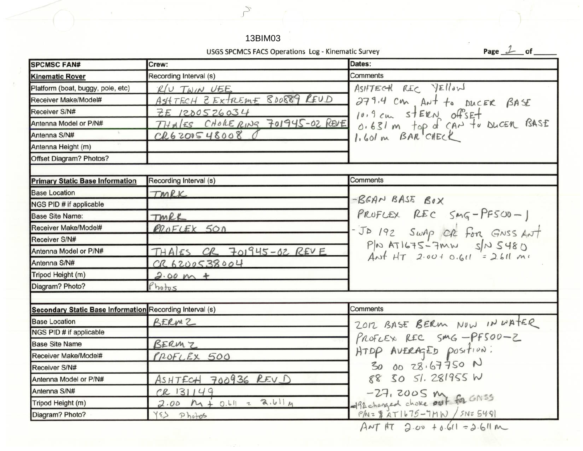|                                                          | 13BIM03                                            |                                                                                          |
|----------------------------------------------------------|----------------------------------------------------|------------------------------------------------------------------------------------------|
|                                                          | USGS SPCMCS FACS Operations Log - Kinematic Survey | Page $1$ of                                                                              |
| <b>SPCMSC FAN#</b>                                       | Crew:                                              | Dates:                                                                                   |
| <b>Kinematic Rover</b>                                   | Recording Interval (s)                             | Comments                                                                                 |
| Platform (boat, buggy, pole, etc)                        | $RU$ TWIN UEE                                      | ASHTECH REC YELLOW                                                                       |
| Receiver Make/Model#                                     | ASHTECH ZEXTREME 800889 REUD                       | 279.4 cm, Ant to DUCER BASE                                                              |
| Receiver S/N#                                            | ZE 1200526034                                      |                                                                                          |
| Antenna Model or P/N#                                    | THALES CHORERING 701945-02 REVE                    |                                                                                          |
| Antenna S/N#                                             | $CRS$ 00548008                                     | 10.9 cm sterw offset<br>0.631 m top of CAN to bucen BASE<br>1.601 m BAR CHECK            |
| Antenna Height (m)                                       |                                                    |                                                                                          |
| Offset Diagram? Photos?                                  |                                                    |                                                                                          |
| <b>Primary Static Base Information</b>                   | Recording Interval (s)                             | Comments                                                                                 |
| <b>Base Location</b>                                     | TMRK                                               |                                                                                          |
| NGS PID # if applicable                                  |                                                    | -BEAN BASE BOX                                                                           |
| <b>Base Site Name:</b>                                   | TMRK                                               | PROFLEX REC $Smq-PFS00-1$                                                                |
| Receiver Make/Model#                                     | RROFLEX 500                                        |                                                                                          |
| Receiver S/N#                                            |                                                    |                                                                                          |
| Antenna Model or P/N#                                    | THALES OR 701945-02 REVE                           | - JO 192 SWAP OR FOR GNSS ANT<br>PIN ATIGTS-7mm SIN 5480<br>ANT HT 2.001 0.611 = 2.611 m |
| Antenna S/N#                                             | CR6200538004                                       |                                                                                          |
| Tripod Height (m)                                        | $2.00 m +$                                         |                                                                                          |
| Diagram? Photo?                                          | Photos                                             |                                                                                          |
|                                                          |                                                    |                                                                                          |
| Secondary Static Base Information Recording Interval (s) |                                                    | <b>Comments</b>                                                                          |
| <b>Base Location</b>                                     | BERMZ                                              | ZOIZ BASE BERM NOW IN WATER                                                              |
| NGS PID # if applicable                                  |                                                    | PROFLEX REC SMG-PFS00-2                                                                  |
| <b>Base Site Name</b>                                    | BERMZ                                              |                                                                                          |
| Receiver Make/Model#                                     | PROFLEX 500                                        | 30 00 28.67750 N                                                                         |
| Receiver S/N#                                            |                                                    | 88 30 51. 281955 W                                                                       |
| Antenna Model or P/N#                                    | ASHTECH 700936 REV D                               |                                                                                          |
| Antenna S/N#                                             | $CR$ 131149                                        | -27, 2005 my for GNSS                                                                    |
| Tripod Height (m)                                        | $2.00 M + 0.61 = 2.611 M$                          |                                                                                          |
| Diagram? Photo?                                          | YES Photos                                         | $P/N = 8ATIbT5 - 7MN / SNZ549$<br>$ANT RT$ 2.00 + 0.611 = 2.611 m                        |

 $\mathcal{L}_{\mathcal{L}}$